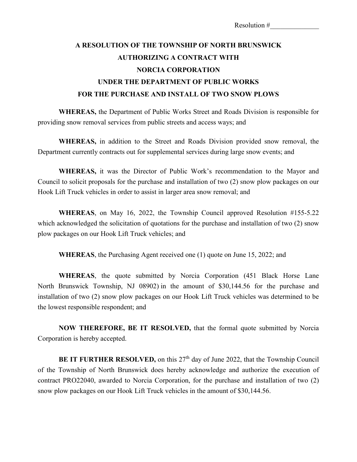## **A RESOLUTION OF THE TOWNSHIP OF NORTH BRUNSWICK AUTHORIZING A CONTRACT WITH NORCIA CORPORATION UNDER THE DEPARTMENT OF PUBLIC WORKS FOR THE PURCHASE AND INSTALL OF TWO SNOW PLOWS**

**WHEREAS,** the Department of Public Works Street and Roads Division is responsible for providing snow removal services from public streets and access ways; and

**WHEREAS,** in addition to the Street and Roads Division provided snow removal, the Department currently contracts out for supplemental services during large snow events; and

**WHEREAS,** it was the Director of Public Work's recommendation to the Mayor and Council to solicit proposals for the purchase and installation of two (2) snow plow packages on our Hook Lift Truck vehicles in order to assist in larger area snow removal; and

**WHEREAS**, on May 16, 2022, the Township Council approved Resolution #155-5.22 which acknowledged the solicitation of quotations for the purchase and installation of two (2) snow plow packages on our Hook Lift Truck vehicles; and

**WHEREAS**, the Purchasing Agent received one (1) quote on June 15, 2022; and

**WHEREAS**, the quote submitted by Norcia Corporation (451 Black Horse Lane North Brunswick Township, NJ 08902) in the amount of \$30,144.56 for the purchase and installation of two (2) snow plow packages on our Hook Lift Truck vehicles was determined to be the lowest responsible respondent; and

**NOW THEREFORE, BE IT RESOLVED,** that the formal quote submitted by Norcia Corporation is hereby accepted.

**BE IT FURTHER RESOLVED,** on this 27<sup>th</sup> day of June 2022, that the Township Council of the Township of North Brunswick does hereby acknowledge and authorize the execution of contract PRO22040, awarded to Norcia Corporation, for the purchase and installation of two (2) snow plow packages on our Hook Lift Truck vehicles in the amount of \$30,144.56.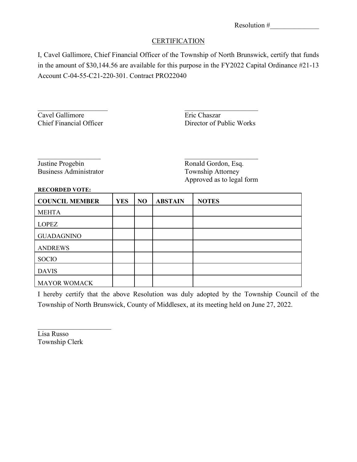## **CERTIFICATION**

I, Cavel Gallimore, Chief Financial Officer of the Township of North Brunswick, certify that funds in the amount of \$30,144.56 are available for this purpose in the FY2022 Capital Ordinance #21-13 Account C-04-55-C21-220-301. Contract PRO22040

 $\overline{\phantom{a}}$  , and the contract of the contract of the contract of the contract of the contract of the contract of the contract of the contract of the contract of the contract of the contract of the contract of the contrac

Cavel Gallimore Eric Chaszar

Director of Public Works

Justine Progebin Ronald Gordon, Esq. Business Administrator Township Attorney

Approved as to legal form

## **RECORDED VOTE:**

| <b>COUNCIL MEMBER</b> | <b>YES</b> | N <sub>O</sub> | <b>ABSTAIN</b> | <b>NOTES</b> |
|-----------------------|------------|----------------|----------------|--------------|
| <b>MEHTA</b>          |            |                |                |              |
| <b>LOPEZ</b>          |            |                |                |              |
| <b>GUADAGNINO</b>     |            |                |                |              |
| <b>ANDREWS</b>        |            |                |                |              |
| <b>SOCIO</b>          |            |                |                |              |
| <b>DAVIS</b>          |            |                |                |              |
| <b>MAYOR WOMACK</b>   |            |                |                |              |

I hereby certify that the above Resolution was duly adopted by the Township Council of the Township of North Brunswick, County of Middlesex, at its meeting held on June 27, 2022.

Lisa Russo Township Clerk

 $\overline{\phantom{a}}$  , which is a set of the set of the set of the set of the set of the set of the set of the set of the set of the set of the set of the set of the set of the set of the set of the set of the set of the set of th